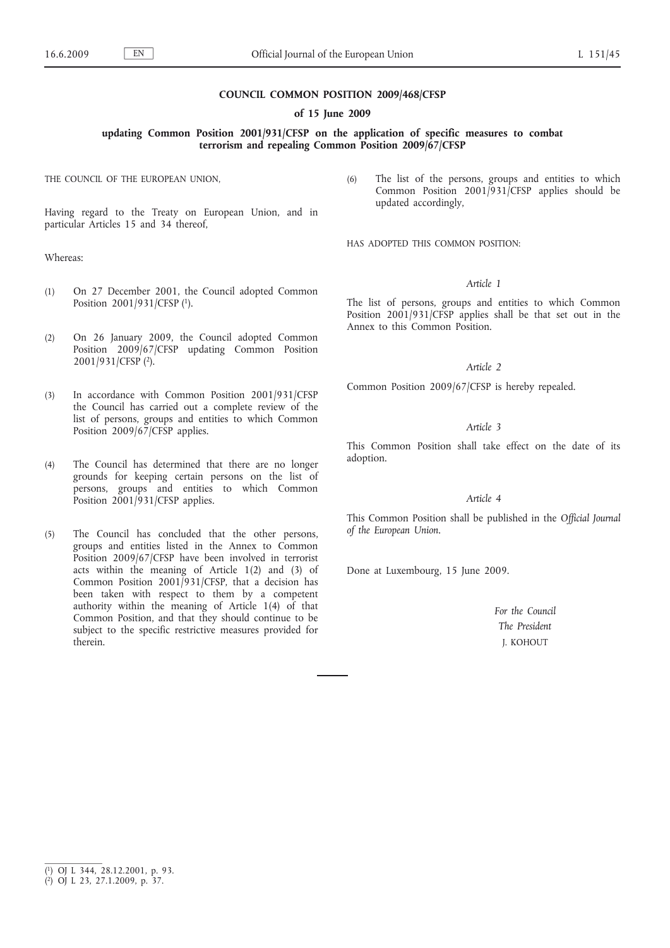## **COUNCIL COMMON POSITION 2009/468/CFSP**

### **of 15 June 2009**

**updating Common Position 2001/931/CFSP on the application of specific measures to combat terrorism and repealing Common Position 2009/67/CFSP**

THE COUNCIL OF THE EUROPEAN UNION,

Having regard to the Treaty on European Union, and in particular Articles 15 and 34 thereof,

## Whereas:

- (1) On 27 December 2001, the Council adopted Common Position 2001/931/CFSP (1).
- (2) On 26 January 2009, the Council adopted Common Position 2009/67/CFSP updating Common Position 2001/931/CFSP (2).
- (3) In accordance with Common Position 2001/931/CFSP the Council has carried out a complete review of the list of persons, groups and entities to which Common Position 2009/67/CFSP applies.
- (4) The Council has determined that there are no longer grounds for keeping certain persons on the list of persons, groups and entities to which Common Position 2001/931/CFSP applies.
- (5) The Council has concluded that the other persons, groups and entities listed in the Annex to Common Position 2009/67/CFSP have been involved in terrorist acts within the meaning of Article 1(2) and (3) of Common Position 2001/931/CFSP, that a decision has been taken with respect to them by a competent authority within the meaning of Article 1(4) of that Common Position, and that they should continue to be subject to the specific restrictive measures provided for therein.

(6) The list of the persons, groups and entities to which Common Position 2001/931/CFSP applies should be updated accordingly,

HAS ADOPTED THIS COMMON POSITION:

## *Article 1*

The list of persons, groups and entities to which Common Position 2001/931/CFSP applies shall be that set out in the Annex to this Common Position.

# *Article 2*

Common Position 2009/67/CFSP is hereby repealed.

# *Article 3*

This Common Position shall take effect on the date of its adoption.

## *Article 4*

This Common Position shall be published in the *Official Journal of the European Union*.

Done at Luxembourg, 15 June 2009.

*For the Council The President* J. KOHOUT

<sup>(</sup> 1) OJ L 344, 28.12.2001, p. 93.

<sup>(</sup> 2) OJ L 23, 27.1.2009, p. 37.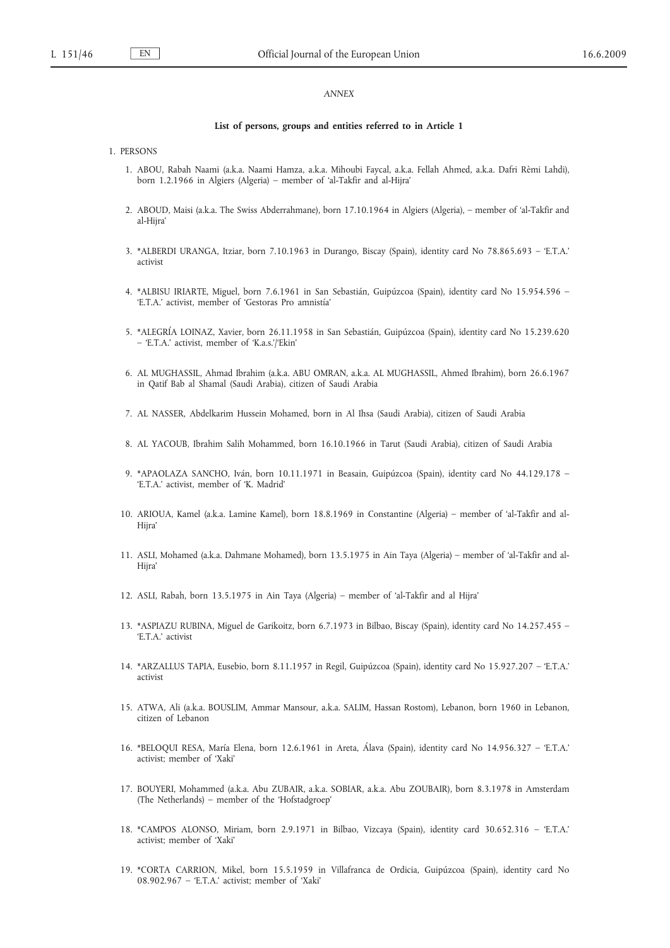## *ANNEX*

#### **List of persons, groups and entities referred to in Article 1**

#### 1. PERSONS

- 1. ABOU, Rabah Naami (a.k.a. Naami Hamza, a.k.a. Mihoubi Faycal, a.k.a. Fellah Ahmed, a.k.a. Dafri Rèmi Lahdi), born 1.2.1966 in Algiers (Algeria) – member of 'al-Takfir and al-Hijra'
- 2. ABOUD, Maisi (a.k.a. The Swiss Abderrahmane), born 17.10.1964 in Algiers (Algeria), member of 'al-Takfir and al-Hijra'
- 3. \*ALBERDI URANGA, Itziar, born 7.10.1963 in Durango, Biscay (Spain), identity card No 78.865.693 'E.T.A.' activist
- 4. \*ALBISU IRIARTE, Miguel, born 7.6.1961 in San Sebastián, Guipúzcoa (Spain), identity card No 15.954.596 'E.T.A.' activist, member of 'Gestoras Pro amnistía'
- 5. \*ALEGRÍA LOINAZ, Xavier, born 26.11.1958 in San Sebastián, Guipúzcoa (Spain), identity card No 15.239.620 – 'E.T.A.' activist, member of 'K.a.s.'/'Ekin'
- 6. AL MUGHASSIL, Ahmad Ibrahim (a.k.a. ABU OMRAN, a.k.a. AL MUGHASSIL, Ahmed Ibrahim), born 26.6.1967 in Qatif Bab al Shamal (Saudi Arabia), citizen of Saudi Arabia
- 7. AL NASSER, Abdelkarim Hussein Mohamed, born in Al Ihsa (Saudi Arabia), citizen of Saudi Arabia
- 8. AL YACOUB, Ibrahim Salih Mohammed, born 16.10.1966 in Tarut (Saudi Arabia), citizen of Saudi Arabia
- 9. \*APAOLAZA SANCHO, Iván, born 10.11.1971 in Beasain, Guipúzcoa (Spain), identity card No 44.129.178 'E.T.A.' activist, member of 'K. Madrid'
- 10. ARIOUA, Kamel (a.k.a. Lamine Kamel), born 18.8.1969 in Constantine (Algeria) member of 'al-Takfir and al-Hijra'
- 11. ASLI, Mohamed (a.k.a. Dahmane Mohamed), born 13.5.1975 in Ain Taya (Algeria) member of 'al-Takfir and al-Hijra'
- 12. ASLI, Rabah, born 13.5.1975 in Ain Taya (Algeria) member of 'al-Takfir and al Hijra'
- 13. \*ASPIAZU RUBINA, Miguel de Garikoitz, born 6.7.1973 in Bilbao, Biscay (Spain), identity card No 14.257.455 'E.T.A.' activist
- 14. \*ARZALLUS TAPIA, Eusebio, born 8.11.1957 in Regil, Guipúzcoa (Spain), identity card No 15.927.207 'E.T.A.' activist
- 15. ATWA, Ali (a.k.a. BOUSLIM, Ammar Mansour, a.k.a. SALIM, Hassan Rostom), Lebanon, born 1960 in Lebanon, citizen of Lebanon
- 16. \*BELOQUI RESA, María Elena, born 12.6.1961 in Areta, Álava (Spain), identity card No 14.956.327 'E.T.A.' activist; member of 'Xaki'
- 17. BOUYERI, Mohammed (a.k.a. Abu ZUBAIR, a.k.a. SOBIAR, a.k.a. Abu ZOUBAIR), born 8.3.1978 in Amsterdam (The Netherlands) – member of the 'Hofstadgroep'
- 18. \*CAMPOS ALONSO, Miriam, born 2.9.1971 in Bilbao, Vizcaya (Spain), identity card 30.652.316 'E.T.A.' activist; member of 'Xaki'
- 19. \*CORTA CARRION, Mikel, born 15.5.1959 in Villafranca de Ordicia, Guipúzcoa (Spain), identity card No 08.902.967 – 'E.T.A.' activist; member of 'Xaki'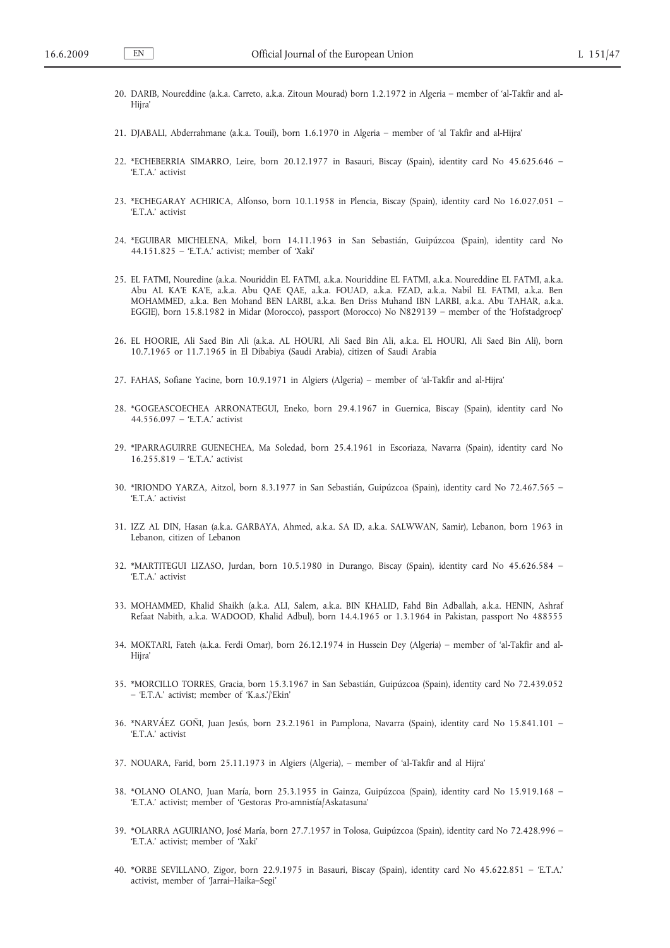- 20. DARIB, Noureddine (a.k.a. Carreto, a.k.a. Zitoun Mourad) born 1.2.1972 in Algeria member of 'al-Takfir and al-Hiira'
- 21. DJABALI, Abderrahmane (a.k.a. Touil), born 1.6.1970 in Algeria member of 'al Takfir and al-Hijra'
- 22. \*ECHEBERRIA SIMARRO, Leire, born 20.12.1977 in Basauri, Biscay (Spain), identity card No 45.625.646 'E.T.A.' activist
- 23. \*ECHEGARAY ACHIRICA, Alfonso, born 10.1.1958 in Plencia, Biscay (Spain), identity card No 16.027.051 'E.T.A.' activist
- 24. \*EGUIBAR MICHELENA, Mikel, born 14.11.1963 in San Sebastián, Guipúzcoa (Spain), identity card No 44.151.825 – 'E.T.A.' activist; member of 'Xaki'
- 25. EL FATMI, Nouredine (a.k.a. Nouriddin EL FATMI, a.k.a. Nouriddine EL FATMI, a.k.a. Noureddine EL FATMI, a.k.a. Abu AL KA'E KA'E, a.k.a. Abu QAE QAE, a.k.a. FOUAD, a.k.a. FZAD, a.k.a. Nabil EL FATMI, a.k.a. Ben MOHAMMED, a.k.a. Ben Mohand BEN LARBI, a.k.a. Ben Driss Muhand IBN LARBI, a.k.a. Abu TAHAR, a.k.a. EGGIE), born 15.8.1982 in Midar (Morocco), passport (Morocco) No N829139 – member of the 'Hofstadgroep'
- 26. EL HOORIE, Ali Saed Bin Ali (a.k.a. AL HOURI, Ali Saed Bin Ali, a.k.a. EL HOURI, Ali Saed Bin Ali), born 10.7.1965 or 11.7.1965 in El Dibabiya (Saudi Arabia), citizen of Saudi Arabia
- 27. FAHAS, Sofiane Yacine, born 10.9.1971 in Algiers (Algeria) member of 'al-Takfir and al-Hijra'
- 28. \*GOGEASCOECHEA ARRONATEGUI, Eneko, born 29.4.1967 in Guernica, Biscay (Spain), identity card No 44.556.097 – 'E.T.A.' activist
- 29. \*IPARRAGUIRRE GUENECHEA, Ma Soledad, born 25.4.1961 in Escoriaza, Navarra (Spain), identity card No 16.255.819 – 'E.T.A.' activist
- 30. \*IRIONDO YARZA, Aitzol, born 8.3.1977 in San Sebastián, Guipúzcoa (Spain), identity card No 72.467.565 'E.T.A.' activist
- 31. IZZ AL DIN, Hasan (a.k.a. GARBAYA, Ahmed, a.k.a. SA ID, a.k.a. SALWWAN, Samir), Lebanon, born 1963 in Lebanon, citizen of Lebanon
- 32. \*MARTITEGUI LIZASO, Jurdan, born 10.5.1980 in Durango, Biscay (Spain), identity card No 45.626.584 'E.T.A.' activist
- 33. MOHAMMED, Khalid Shaikh (a.k.a. ALI, Salem, a.k.a. BIN KHALID, Fahd Bin Adballah, a.k.a. HENIN, Ashraf Refaat Nabith, a.k.a. WADOOD, Khalid Adbul), born 14.4.1965 or 1.3.1964 in Pakistan, passport No 488555
- 34. MOKTARI, Fateh (a.k.a. Ferdi Omar), born 26.12.1974 in Hussein Dey (Algeria) member of 'al-Takfir and al-Hiira'
- 35. \*MORCILLO TORRES, Gracia, born 15.3.1967 in San Sebastián, Guipúzcoa (Spain), identity card No 72.439.052 – 'E.T.A.' activist; member of 'K.a.s.'/'Ekin'
- 36. \*NARVÁEZ GOÑI, Juan Jesús, born 23.2.1961 in Pamplona, Navarra (Spain), identity card No 15.841.101 'E.T.A.' activist
- 37. NOUARA, Farid, born 25.11.1973 in Algiers (Algeria), member of 'al-Takfir and al Hijra'
- 38. \*OLANO OLANO, Juan María, born 25.3.1955 in Gainza, Guipúzcoa (Spain), identity card No 15.919.168 'E.T.A.' activist; member of 'Gestoras Pro-amnistía/Askatasuna'
- 39. \*OLARRA AGUIRIANO, José María, born 27.7.1957 in Tolosa, Guipúzcoa (Spain), identity card No 72.428.996 'E.T.A.' activist; member of 'Xaki'
- 40. \*ORBE SEVILLANO, Zigor, born 22.9.1975 in Basauri, Biscay (Spain), identity card No 45.622.851 'E.T.A.' activist, member of 'Jarrai–Haika–Segi'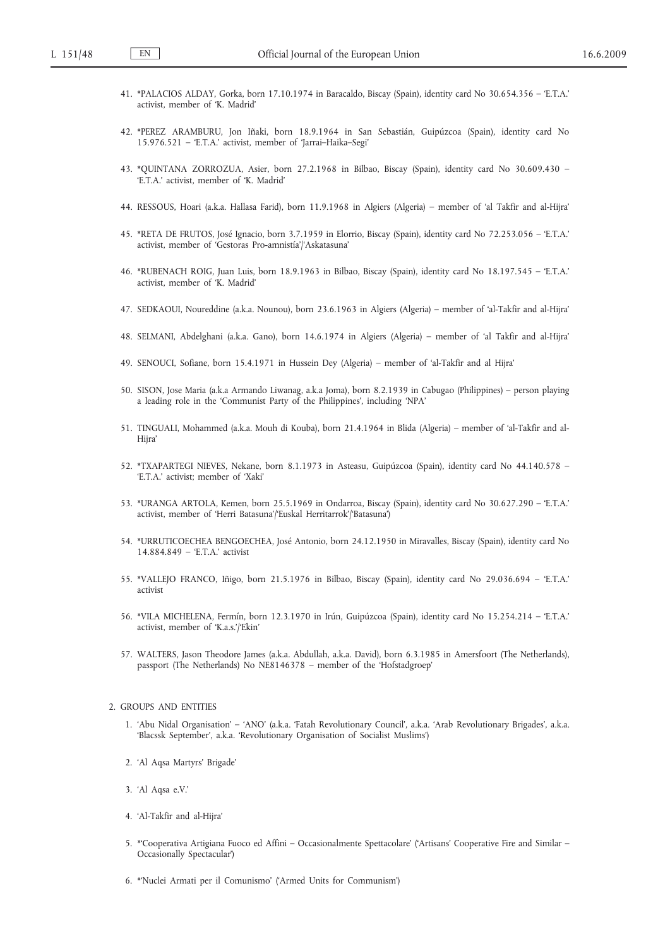- 41. \*PALACIOS ALDAY, Gorka, born 17.10.1974 in Baracaldo, Biscay (Spain), identity card No 30.654.356 'E.T.A.' activist, member of 'K. Madrid'
- 42. \*PEREZ ARAMBURU, Jon Iñaki, born 18.9.1964 in San Sebastián, Guipúzcoa (Spain), identity card No 15.976.521 – 'E.T.A.' activist, member of 'Jarrai–Haika–Segi'
- 43. \*QUINTANA ZORROZUA, Asier, born 27.2.1968 in Bilbao, Biscay (Spain), identity card No 30.609.430 'E.T.A.' activist, member of 'K. Madrid'
- 44. RESSOUS, Hoari (a.k.a. Hallasa Farid), born 11.9.1968 in Algiers (Algeria) member of 'al Takfir and al-Hijra'
- 45. \*RETA DE FRUTOS, José Ignacio, born 3.7.1959 in Elorrio, Biscay (Spain), identity card No 72.253.056 'E.T.A.' activist, member of 'Gestoras Pro-amnistía'/'Askatasuna'
- 46. \*RUBENACH ROIG, Juan Luis, born 18.9.1963 in Bilbao, Biscay (Spain), identity card No 18.197.545 'E.T.A.' activist, member of 'K. Madrid'
- 47. SEDKAOUI, Noureddine (a.k.a. Nounou), born 23.6.1963 in Algiers (Algeria) member of 'al-Takfir and al-Hijra'
- 48. SELMANI, Abdelghani (a.k.a. Gano), born 14.6.1974 in Algiers (Algeria) member of 'al Takfir and al-Hijra'
- 49. SENOUCI, Sofiane, born 15.4.1971 in Hussein Dey (Algeria) member of 'al-Takfir and al Hijra'
- 50. SISON, Jose Maria (a.k.a Armando Liwanag, a.k.a Joma), born 8.2.1939 in Cabugao (Philippines) person playing a leading role in the 'Communist Party of the Philippines', including 'NPA'
- 51. TINGUALI, Mohammed (a.k.a. Mouh di Kouba), born 21.4.1964 in Blida (Algeria) member of 'al-Takfir and al-Hijra'
- 52. \*TXAPARTEGI NIEVES, Nekane, born 8.1.1973 in Asteasu, Guipúzcoa (Spain), identity card No 44.140.578 'E.T.A.' activist; member of 'Xaki'
- 53. \*URANGA ARTOLA, Kemen, born 25.5.1969 in Ondarroa, Biscay (Spain), identity card No 30.627.290 'E.T.A.' activist, member of 'Herri Batasuna'/'Euskal Herritarrok'/'Batasuna')
- 54. \*URRUTICOECHEA BENGOECHEA, José Antonio, born 24.12.1950 in Miravalles, Biscay (Spain), identity card No 14.884.849 – 'E.T.A.' activist
- 55. \*VALLEJO FRANCO, Iñigo, born 21.5.1976 in Bilbao, Biscay (Spain), identity card No 29.036.694 'E.T.A.' activist
- 56. \*VILA MICHELENA, Fermín, born 12.3.1970 in Irún, Guipúzcoa (Spain), identity card No 15.254.214 'E.T.A.' activist, member of 'K.a.s.'/'Ekin'
- 57. WALTERS, Jason Theodore James (a.k.a. Abdullah, a.k.a. David), born 6.3.1985 in Amersfoort (The Netherlands), passport (The Netherlands) No NE8146378 – member of the 'Hofstadgroep'

#### 2. GROUPS AND ENTITIES

- 1. 'Abu Nidal Organisation' 'ANO' (a.k.a. 'Fatah Revolutionary Council', a.k.a. 'Arab Revolutionary Brigades', a.k.a. 'Blacssk September', a.k.a. 'Revolutionary Organisation of Socialist Muslims')
- 2. 'Al Aqsa Martyrs' Brigade'
- 3. 'Al Aqsa e.V.'
- 4. 'Al-Takfir and al-Hijra'
- 5. \*'Cooperativa Artigiana Fuoco ed Affini Occasionalmente Spettacolare' ('Artisans' Cooperative Fire and Similar Occasionally Spectacular')
- 6. \*'Nuclei Armati per il Comunismo' ('Armed Units for Communism')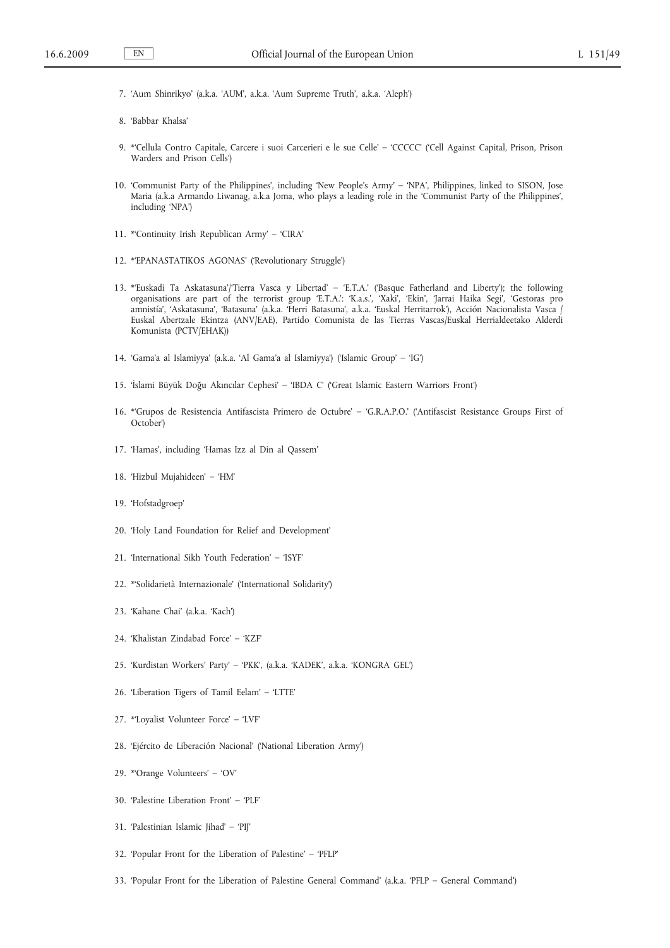- 7. 'Aum Shinrikyo' (a.k.a. 'AUM', a.k.a. 'Aum Supreme Truth', a.k.a. 'Aleph')
- 8. 'Babbar Khalsa'
- 9. \*'Cellula Contro Capitale, Carcere i suoi Carcerieri e le sue Celle' 'CCCCC' ('Cell Against Capital, Prison, Prison Warders and Prison Cells')
- 10. 'Communist Party of the Philippines', including 'New People's Army' 'NPA', Philippines, linked to SISON, Jose Maria (a.k.a Armando Liwanag, a.k.a Joma, who plays a leading role in the 'Communist Party of the Philippines', including 'NPA')
- 11. \*'Continuity Irish Republican Army' 'CIRA'
- 12. \*'EPANASTATIKOS AGONAS' ('Revolutionary Struggle')
- 13. \*'Euskadi Ta Askatasuna'/'Tierra Vasca y Libertad' 'E.T.A.' ('Basque Fatherland and Liberty'); the following organisations are part of the terrorist group 'E.T.A.': 'K.a.s.', 'Xaki', 'Ekin', 'Jarrai Haika Segi', 'Gestoras pro amnistía', 'Askatasuna', 'Batasuna' (a.k.a. 'Herri Batasuna', a.k.a. 'Euskal Herritarrok'), Acción Nacionalista Vasca / Euskal Abertzale Ekintza (ANV/EAE), Partido Comunista de las Tierras Vascas/Euskal Herrialdeetako Alderdi Komunista (PCTV/EHAK))
- 14. 'Gama'a al Islamiyya' (a.k.a. 'Al Gama'a al Islamiyya') ('Islamic Group' 'IG')
- 15. 'İslami Büyük Doğu Akıncılar Cephesi' 'IBDA C' ('Great Islamic Eastern Warriors Front')
- 16. \*'Grupos de Resistencia Antifascista Primero de Octubre' 'G.R.A.P.O.' ('Antifascist Resistance Groups First of October')
- 17. 'Hamas', including 'Hamas Izz al Din al Qassem'
- 18. 'Hizbul Mujahideen' 'HM'
- 19. 'Hofstadgroep'
- 20. 'Holy Land Foundation for Relief and Development'
- 21. 'International Sikh Youth Federation' 'ISYF'
- 22. \*'Solidarietà Internazionale' ('International Solidarity')
- 23. 'Kahane Chai' (a.k.a. 'Kach')
- 24. 'Khalistan Zindabad Force' 'KZF'
- 25. 'Kurdistan Workers' Party' 'PKK', (a.k.a. 'KADEK', a.k.a. 'KONGRA GEL')
- 26. 'Liberation Tigers of Tamil Eelam' 'LTTE'
- 27. \*'Loyalist Volunteer Force' 'LVF'
- 28. 'Ejército de Liberación Nacional' ('National Liberation Army')
- 29. \*'Orange Volunteers' 'OV'
- 30. 'Palestine Liberation Front' 'PLF'
- 31. 'Palestinian Islamic Jihad' 'PIJ'
- 32. 'Popular Front for the Liberation of Palestine' 'PFLP'
- 33. 'Popular Front for the Liberation of Palestine General Command' (a.k.a. 'PFLP General Command')